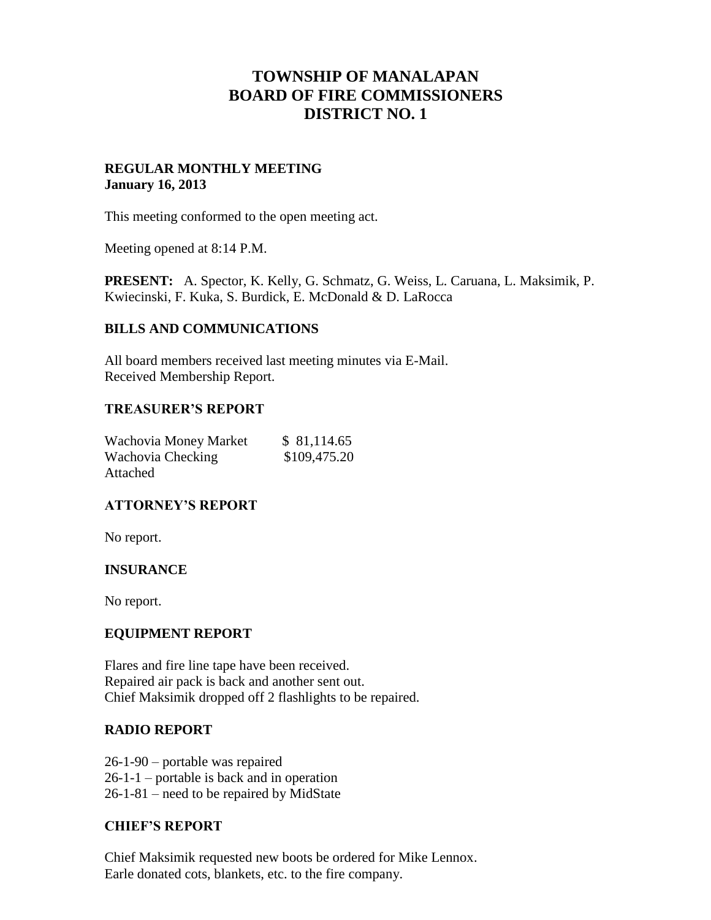# **TOWNSHIP OF MANALAPAN BOARD OF FIRE COMMISSIONERS DISTRICT NO. 1**

#### **REGULAR MONTHLY MEETING January 16, 2013**

This meeting conformed to the open meeting act.

Meeting opened at 8:14 P.M.

**PRESENT:** A. Spector, K. Kelly, G. Schmatz, G. Weiss, L. Caruana, L. Maksimik, P. Kwiecinski, F. Kuka, S. Burdick, E. McDonald & D. LaRocca

#### **BILLS AND COMMUNICATIONS**

All board members received last meeting minutes via E-Mail. Received Membership Report.

#### **TREASURER'S REPORT**

| Wachovia Money Market | \$81,114.65  |
|-----------------------|--------------|
| Wachovia Checking     | \$109,475.20 |
| Attached              |              |

## **ATTORNEY'S REPORT**

No report.

## **INSURANCE**

No report.

#### **EQUIPMENT REPORT**

Flares and fire line tape have been received. Repaired air pack is back and another sent out. Chief Maksimik dropped off 2 flashlights to be repaired.

## **RADIO REPORT**

26-1-90 – portable was repaired 26-1-1 – portable is back and in operation 26-1-81 – need to be repaired by MidState

#### **CHIEF'S REPORT**

Chief Maksimik requested new boots be ordered for Mike Lennox. Earle donated cots, blankets, etc. to the fire company.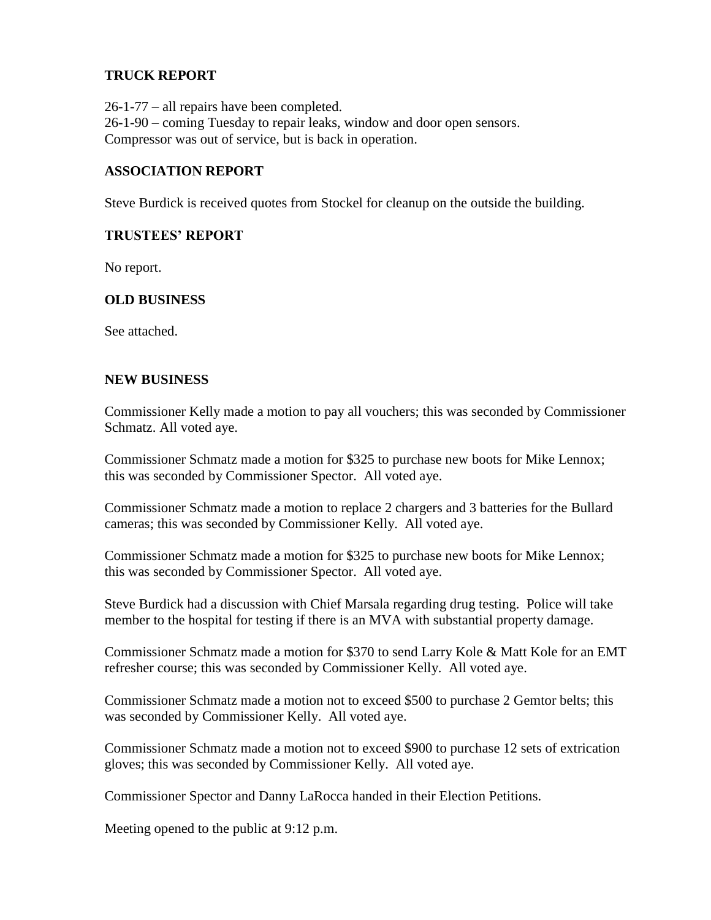#### **TRUCK REPORT**

26-1-77 – all repairs have been completed. 26-1-90 – coming Tuesday to repair leaks, window and door open sensors. Compressor was out of service, but is back in operation.

#### **ASSOCIATION REPORT**

Steve Burdick is received quotes from Stockel for cleanup on the outside the building.

#### **TRUSTEES' REPORT**

No report.

#### **OLD BUSINESS**

See attached.

#### **NEW BUSINESS**

Commissioner Kelly made a motion to pay all vouchers; this was seconded by Commissioner Schmatz. All voted aye.

Commissioner Schmatz made a motion for \$325 to purchase new boots for Mike Lennox; this was seconded by Commissioner Spector. All voted aye.

Commissioner Schmatz made a motion to replace 2 chargers and 3 batteries for the Bullard cameras; this was seconded by Commissioner Kelly. All voted aye.

Commissioner Schmatz made a motion for \$325 to purchase new boots for Mike Lennox; this was seconded by Commissioner Spector. All voted aye.

Steve Burdick had a discussion with Chief Marsala regarding drug testing. Police will take member to the hospital for testing if there is an MVA with substantial property damage.

Commissioner Schmatz made a motion for \$370 to send Larry Kole & Matt Kole for an EMT refresher course; this was seconded by Commissioner Kelly. All voted aye.

Commissioner Schmatz made a motion not to exceed \$500 to purchase 2 Gemtor belts; this was seconded by Commissioner Kelly. All voted aye.

Commissioner Schmatz made a motion not to exceed \$900 to purchase 12 sets of extrication gloves; this was seconded by Commissioner Kelly. All voted aye.

Commissioner Spector and Danny LaRocca handed in their Election Petitions.

Meeting opened to the public at 9:12 p.m.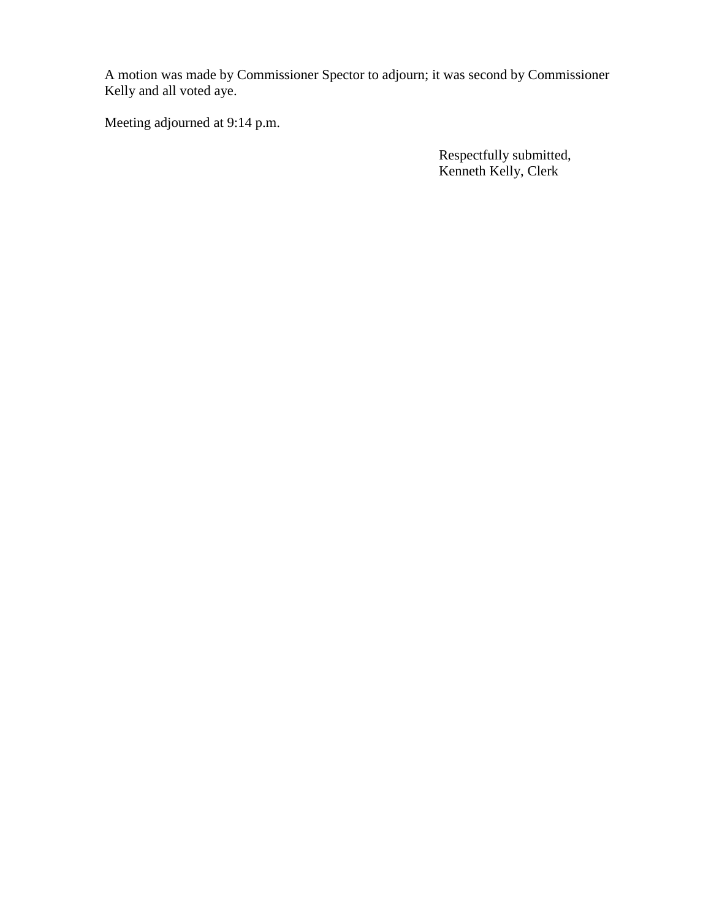A motion was made by Commissioner Spector to adjourn; it was second by Commissioner Kelly and all voted aye.

Meeting adjourned at 9:14 p.m.

 Respectfully submitted, Kenneth Kelly, Clerk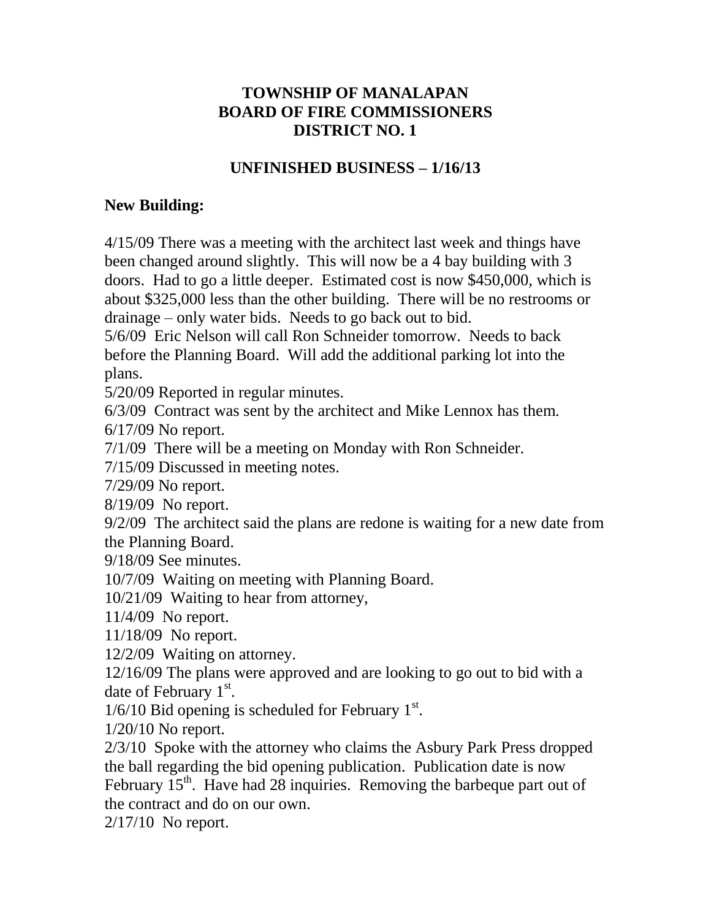# **TOWNSHIP OF MANALAPAN BOARD OF FIRE COMMISSIONERS DISTRICT NO. 1**

# **UNFINISHED BUSINESS – 1/16/13**

## **New Building:**

4/15/09 There was a meeting with the architect last week and things have been changed around slightly. This will now be a 4 bay building with 3 doors. Had to go a little deeper. Estimated cost is now \$450,000, which is about \$325,000 less than the other building. There will be no restrooms or drainage – only water bids. Needs to go back out to bid.

5/6/09 Eric Nelson will call Ron Schneider tomorrow. Needs to back before the Planning Board. Will add the additional parking lot into the plans.

5/20/09 Reported in regular minutes.

6/3/09 Contract was sent by the architect and Mike Lennox has them. 6/17/09 No report.

7/1/09 There will be a meeting on Monday with Ron Schneider.

7/15/09 Discussed in meeting notes.

7/29/09 No report.

8/19/09 No report.

9/2/09 The architect said the plans are redone is waiting for a new date from the Planning Board.

9/18/09 See minutes.

10/7/09 Waiting on meeting with Planning Board.

10/21/09 Waiting to hear from attorney,

11/4/09 No report.

11/18/09 No report.

12/2/09 Waiting on attorney.

12/16/09 The plans were approved and are looking to go out to bid with a date of February  $1<sup>st</sup>$ .

 $1/6/10$  Bid opening is scheduled for February  $1<sup>st</sup>$ .

1/20/10 No report.

2/3/10 Spoke with the attorney who claims the Asbury Park Press dropped the ball regarding the bid opening publication. Publication date is now February  $15<sup>th</sup>$ . Have had 28 inquiries. Removing the barbeque part out of the contract and do on our own.

2/17/10 No report.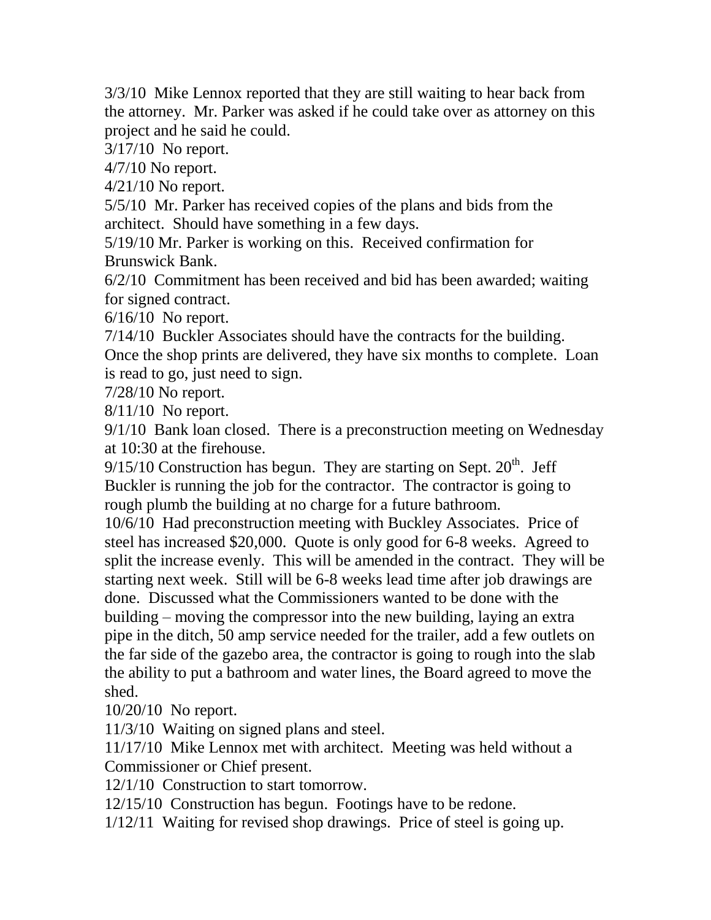3/3/10 Mike Lennox reported that they are still waiting to hear back from the attorney. Mr. Parker was asked if he could take over as attorney on this project and he said he could.

3/17/10 No report.

4/7/10 No report.

4/21/10 No report.

5/5/10 Mr. Parker has received copies of the plans and bids from the architect. Should have something in a few days.

5/19/10 Mr. Parker is working on this. Received confirmation for Brunswick Bank.

6/2/10 Commitment has been received and bid has been awarded; waiting for signed contract.

6/16/10 No report.

7/14/10 Buckler Associates should have the contracts for the building. Once the shop prints are delivered, they have six months to complete. Loan is read to go, just need to sign.

7/28/10 No report.

8/11/10 No report.

9/1/10 Bank loan closed. There is a preconstruction meeting on Wednesday at 10:30 at the firehouse.

 $9/15/10$  Construction has begun. They are starting on Sept.  $20<sup>th</sup>$ . Jeff Buckler is running the job for the contractor. The contractor is going to rough plumb the building at no charge for a future bathroom.

10/6/10 Had preconstruction meeting with Buckley Associates. Price of steel has increased \$20,000. Quote is only good for 6-8 weeks. Agreed to split the increase evenly. This will be amended in the contract. They will be starting next week. Still will be 6-8 weeks lead time after job drawings are done. Discussed what the Commissioners wanted to be done with the building – moving the compressor into the new building, laying an extra pipe in the ditch, 50 amp service needed for the trailer, add a few outlets on the far side of the gazebo area, the contractor is going to rough into the slab the ability to put a bathroom and water lines, the Board agreed to move the shed.

10/20/10 No report.

11/3/10 Waiting on signed plans and steel.

11/17/10 Mike Lennox met with architect. Meeting was held without a Commissioner or Chief present.

12/1/10 Construction to start tomorrow.

12/15/10 Construction has begun. Footings have to be redone.

1/12/11 Waiting for revised shop drawings. Price of steel is going up.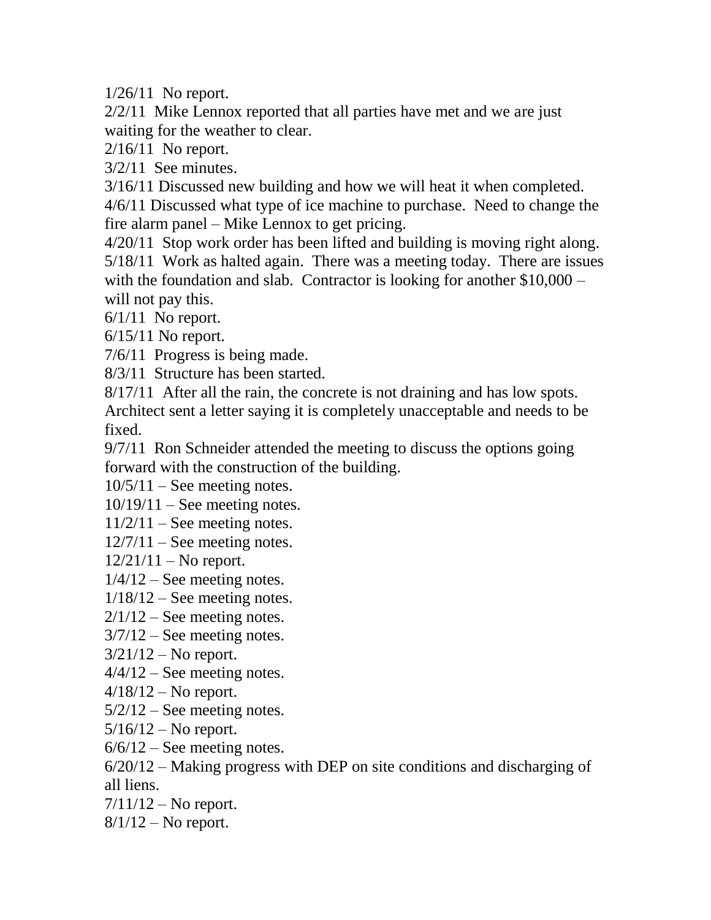1/26/11 No report.

2/2/11 Mike Lennox reported that all parties have met and we are just waiting for the weather to clear.

2/16/11 No report.

3/2/11 See minutes.

3/16/11 Discussed new building and how we will heat it when completed.

4/6/11 Discussed what type of ice machine to purchase. Need to change the fire alarm panel – Mike Lennox to get pricing.

4/20/11 Stop work order has been lifted and building is moving right along. 5/18/11 Work as halted again. There was a meeting today. There are issues with the foundation and slab. Contractor is looking for another \$10,000 – will not pay this.

 $6/1/11$  No report.

6/15/11 No report.

7/6/11 Progress is being made.

8/3/11 Structure has been started.

8/17/11 After all the rain, the concrete is not draining and has low spots. Architect sent a letter saying it is completely unacceptable and needs to be fixed.

9/7/11 Ron Schneider attended the meeting to discuss the options going forward with the construction of the building.

 $10/5/11$  – See meeting notes.

 $10/19/11$  – See meeting notes.

 $11/2/11$  – See meeting notes.

 $12/7/11$  – See meeting notes.

 $12/21/11 -$ No report.

 $1/4/12$  – See meeting notes.

 $1/18/12$  – See meeting notes.

 $2/1/12$  – See meeting notes.

 $3/7/12$  – See meeting notes.

 $3/21/12$  – No report.

 $4/4/12$  – See meeting notes.

 $4/18/12$  – No report.

 $5/2/12$  – See meeting notes.

 $5/16/12 -$ No report.

 $6/6/12$  – See meeting notes.

6/20/12 – Making progress with DEP on site conditions and discharging of all liens.

 $7/11/12 -$ No report.

 $8/1/12$  – No report.